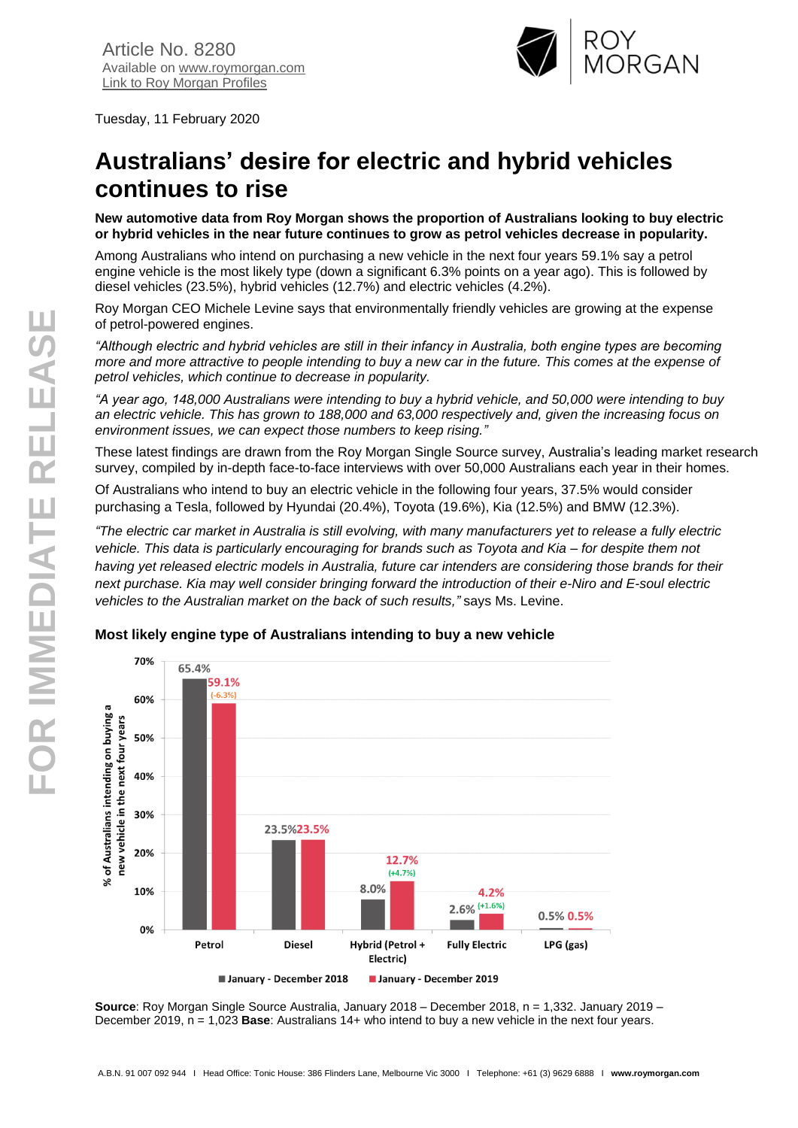

Tuesday, 11 February 2020

# **Australians' desire for electric and hybrid vehicles continues to rise**

**New automotive data from Roy Morgan shows the proportion of Australians looking to buy electric or hybrid vehicles in the near future continues to grow as petrol vehicles decrease in popularity.**

Among Australians who intend on purchasing a new vehicle in the next four years 59.1% say a petrol engine vehicle is the most likely type (down a significant 6.3% points on a year ago). This is followed by diesel vehicles (23.5%), hybrid vehicles (12.7%) and electric vehicles (4.2%).

Roy Morgan CEO Michele Levine says that environmentally friendly vehicles are growing at the expense of petrol-powered engines.

*"Although electric and hybrid vehicles are still in their infancy in Australia, both engine types are becoming more and more attractive to people intending to buy a new car in the future. This comes at the expense of petrol vehicles, which continue to decrease in popularity.*

*"A year ago, 148,000 Australians were intending to buy a hybrid vehicle, and 50,000 were intending to buy an electric vehicle. This has grown to 188,000 and 63,000 respectively and, given the increasing focus on environment issues, we can expect those numbers to keep rising."*

These latest findings are drawn from the Roy Morgan Single Source survey, Australia's leading market research survey, compiled by in-depth face-to-face interviews with over 50,000 Australians each year in their homes.

Of Australians who intend to buy an electric vehicle in the following four years, 37.5% would consider purchasing a Tesla, followed by Hyundai (20.4%), Toyota (19.6%), Kia (12.5%) and BMW (12.3%).

*"The electric car market in Australia is still evolving, with many manufacturers yet to release a fully electric vehicle. This data is particularly encouraging for brands such as Toyota and Kia – for despite them not having yet released electric models in Australia, future car intenders are considering those brands for their next purchase. Kia may well consider bringing forward the introduction of their e-Niro and E-soul electric vehicles to the Australian market on the back of such results,"* says Ms. Levine.



**Most likely engine type of Australians intending to buy a new vehicle**

**Source**: Roy Morgan Single Source Australia, January 2018 – December 2018, n = 1,332. January 2019 – December 2019, n = 1,023 **Base**: Australians 14+ who intend to buy a new vehicle in the next four years.